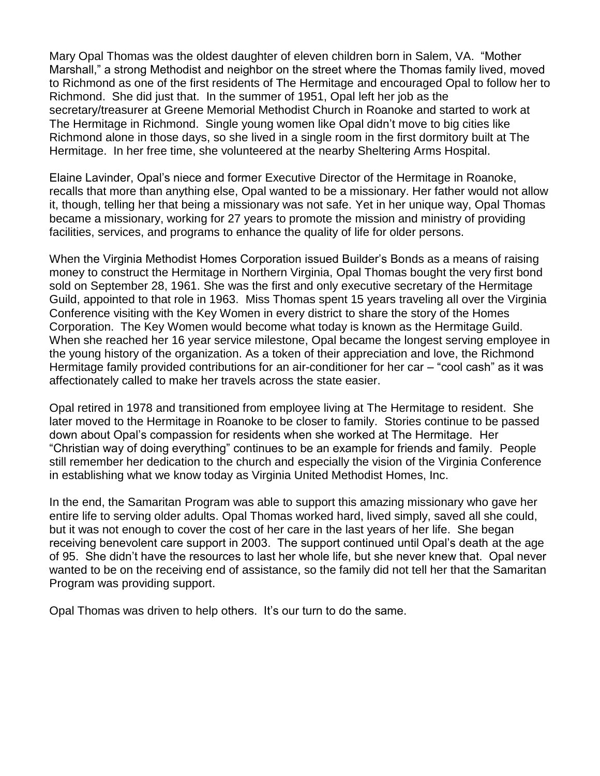Mary Opal Thomas was the oldest daughter of eleven children born in Salem, VA. "Mother Marshall," a strong Methodist and neighbor on the street where the Thomas family lived, moved to Richmond as one of the first residents of The Hermitage and encouraged Opal to follow her to Richmond. She did just that. In the summer of 1951, Opal left her job as the secretary/treasurer at Greene Memorial Methodist Church in Roanoke and started to work at The Hermitage in Richmond. Single young women like Opal didn't move to big cities like Richmond alone in those days, so she lived in a single room in the first dormitory built at The Hermitage. In her free time, she volunteered at the nearby Sheltering Arms Hospital.

Elaine Lavinder, Opal's niece and former Executive Director of the Hermitage in Roanoke, recalls that more than anything else, Opal wanted to be a missionary. Her father would not allow it, though, telling her that being a missionary was not safe. Yet in her unique way, Opal Thomas became a missionary, working for 27 years to promote the mission and ministry of providing facilities, services, and programs to enhance the quality of life for older persons.

When the Virginia Methodist Homes Corporation issued Builder's Bonds as a means of raising money to construct the Hermitage in Northern Virginia, Opal Thomas bought the very first bond sold on September 28, 1961. She was the first and only executive secretary of the Hermitage Guild, appointed to that role in 1963. Miss Thomas spent 15 years traveling all over the Virginia Conference visiting with the Key Women in every district to share the story of the Homes Corporation. The Key Women would become what today is known as the Hermitage Guild. When she reached her 16 year service milestone, Opal became the longest serving employee in the young history of the organization. As a token of their appreciation and love, the Richmond Hermitage family provided contributions for an air-conditioner for her car – "cool cash" as it was affectionately called to make her travels across the state easier.

Opal retired in 1978 and transitioned from employee living at The Hermitage to resident. She later moved to the Hermitage in Roanoke to be closer to family. Stories continue to be passed down about Opal's compassion for residents when she worked at The Hermitage. Her "Christian way of doing everything" continues to be an example for friends and family. People still remember her dedication to the church and especially the vision of the Virginia Conference in establishing what we know today as Virginia United Methodist Homes, Inc.

In the end, the Samaritan Program was able to support this amazing missionary who gave her entire life to serving older adults. Opal Thomas worked hard, lived simply, saved all she could, but it was not enough to cover the cost of her care in the last years of her life. She began receiving benevolent care support in 2003. The support continued until Opal's death at the age of 95. She didn't have the resources to last her whole life, but she never knew that. Opal never wanted to be on the receiving end of assistance, so the family did not tell her that the Samaritan Program was providing support.

Opal Thomas was driven to help others. It's our turn to do the same.